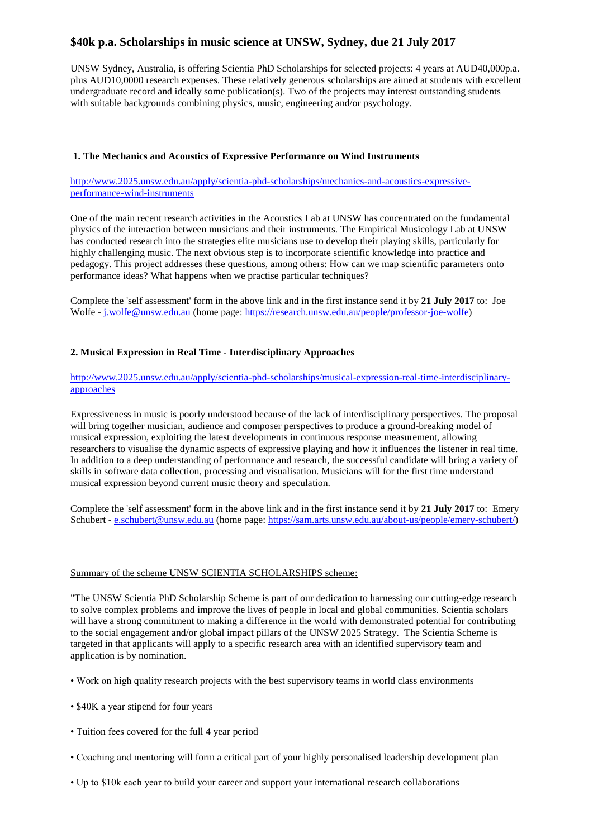# **\$40k p.a. Scholarships in music science at UNSW, Sydney, due 21 July 2017**

UNSW Sydney, Australia, is offering Scientia PhD Scholarships for selected projects: 4 years at AUD40,000p.a. plus AUD10,0000 research expenses. These relatively generous scholarships are aimed at students with excellent undergraduate record and ideally some publication(s). Two of the projects may interest outstanding students with suitable backgrounds combining physics, music, engineering and/or psychology.

### **1. The Mechanics and Acoustics of Expressive Performance on Wind Instruments**

[http://www.2025.unsw.edu.au/apply/scientia-phd-scholarships/mechanics-and-acoustics-expressive](http://www.2025.unsw.edu.au/apply/scientia-phd-scholarships/mechanics-and-acoustics-expressive-performance-wind-instruments)[performance-wind-instruments](http://www.2025.unsw.edu.au/apply/scientia-phd-scholarships/mechanics-and-acoustics-expressive-performance-wind-instruments)

One of the main recent research activities in the Acoustics Lab at UNSW has concentrated on the fundamental physics of the interaction between musicians and their instruments. The Empirical Musicology Lab at UNSW has conducted research into the strategies elite musicians use to develop their playing skills, particularly for highly challenging music. The next obvious step is to incorporate scientific knowledge into practice and pedagogy. This project addresses these questions, among others: How can we map scientific parameters onto performance ideas? What happens when we practise particular techniques?

Complete the 'self assessment' form in the above link and in the first instance send it by **21 July 2017** to: Joe Wolfe - [j.wolfe@unsw.edu.au](mailto:j.wolfe@unsw.edu.au) (home page: [https://research.unsw.edu.au/people/professor-joe-wolfe\)](https://research.unsw.edu.au/people/professor-joe-wolfe)

### **2. Musical Expression in Real Time - Interdisciplinary Approaches**

## [http://www.2025.unsw.edu.au/apply/scientia-phd-scholarships/musical-expression-real-time-interdisciplinary](http://www.2025.unsw.edu.au/apply/scientia-phd-scholarships/musical-expression-real-time-interdisciplinary-approaches)[approaches](http://www.2025.unsw.edu.au/apply/scientia-phd-scholarships/musical-expression-real-time-interdisciplinary-approaches)

Expressiveness in music is poorly understood because of the lack of interdisciplinary perspectives. The proposal will bring together musician, audience and composer perspectives to produce a ground-breaking model of musical expression, exploiting the latest developments in continuous response measurement, allowing researchers to visualise the dynamic aspects of expressive playing and how it influences the listener in real time. In addition to a deep understanding of performance and research, the successful candidate will bring a variety of skills in software data collection, processing and visualisation. Musicians will for the first time understand musical expression beyond current music theory and speculation.

Complete the 'self assessment' form in the above link and in the first instance send it by **21 July 2017** to: Emery Schubert - [e.schubert@unsw.edu.au](mailto:e.schubert@unsw.edu.au) (home page: [https://sam.arts.unsw.edu.au/about-us/people/emery-schubert/\)](https://sam.arts.unsw.edu.au/about-us/people/emery-schubert/)

#### Summary of the scheme UNSW SCIENTIA SCHOLARSHIPS scheme:

"The UNSW Scientia PhD Scholarship Scheme is part of our dedication to harnessing our cutting-edge research to solve complex problems and improve the lives of people in local and global communities. Scientia scholars will have a strong commitment to making a difference in the world with demonstrated potential for contributing to the social engagement and/or global impact pillars of the UNSW 2025 Strategy. The Scientia Scheme is targeted in that applicants will apply to a specific research area with an identified supervisory team and application is by nomination.

- Work on high quality research projects with the best supervisory teams in world class environments
- \$40K a year stipend for four years
- Tuition fees covered for the full 4 year period
- Coaching and mentoring will form a critical part of your highly personalised leadership development plan
- Up to \$10k each year to build your career and support your international research collaborations